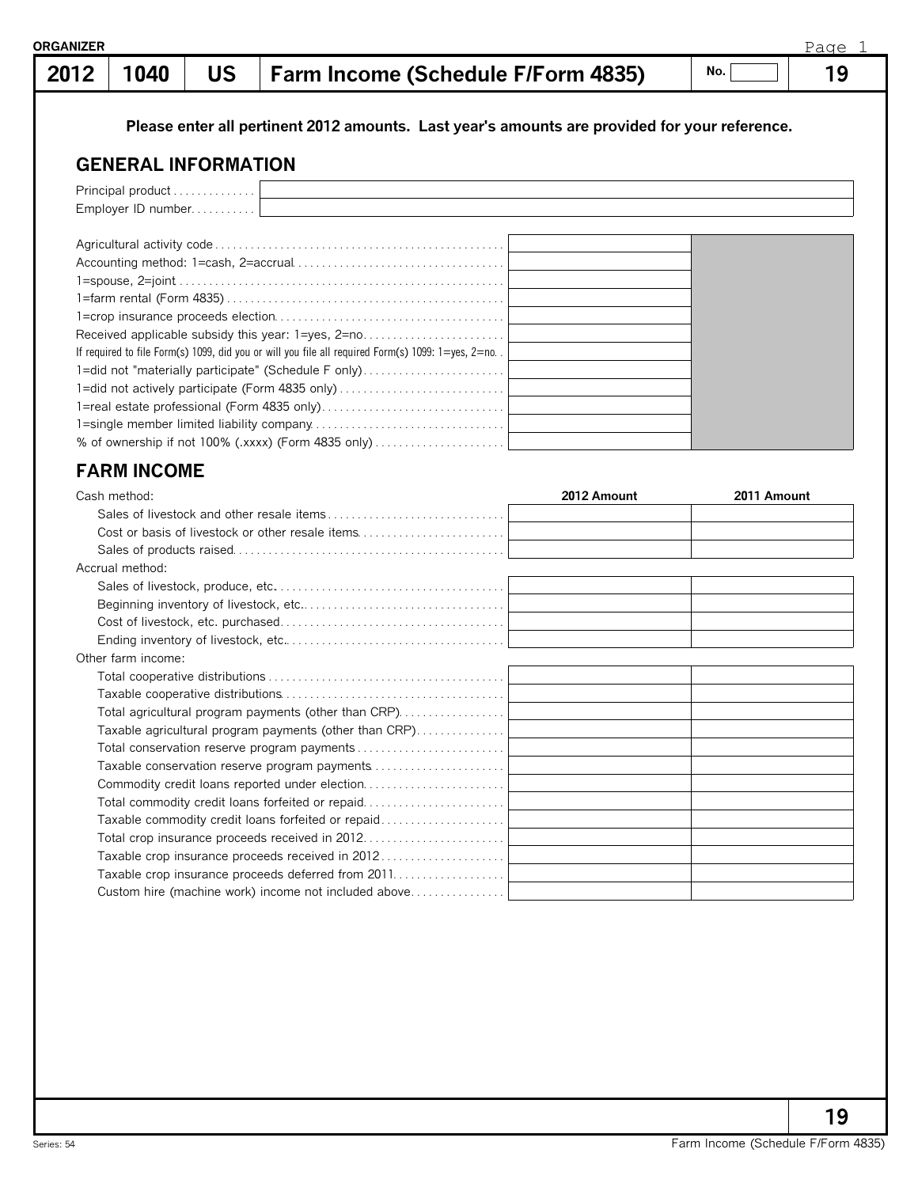## **1040 US Farm Income (Schedule F/Form 4835) 19 2012**

**No.**

## **Please enter all pertinent 2012 amounts. Last year's amounts are provided for your reference.**

## **GENERAL INFORMATION**

| Principal product                                                                                            |  |
|--------------------------------------------------------------------------------------------------------------|--|
| Employer ID number                                                                                           |  |
|                                                                                                              |  |
|                                                                                                              |  |
|                                                                                                              |  |
|                                                                                                              |  |
|                                                                                                              |  |
|                                                                                                              |  |
| Received applicable subsidy this year: 1=yes, 2=no                                                           |  |
| If required to file Form(s) 1099, did you or will you file all required Form(s) 1099: $1 = yes$ , $2 = no$ . |  |
| 1=did not "materially participate" (Schedule F only)                                                         |  |
|                                                                                                              |  |
|                                                                                                              |  |
|                                                                                                              |  |
|                                                                                                              |  |

## **FARM INCOME**

| Cash method:                                           | 2012 Amount | 2011 Amount |
|--------------------------------------------------------|-------------|-------------|
|                                                        |             |             |
| Cost or basis of livestock or other resale items       |             |             |
|                                                        |             |             |
| Accrual method:                                        |             |             |
|                                                        |             |             |
|                                                        |             |             |
|                                                        |             |             |
|                                                        |             |             |
| Other farm income:                                     |             |             |
|                                                        |             |             |
|                                                        |             |             |
| Total agricultural program payments (other than CRP)   |             |             |
| Taxable agricultural program payments (other than CRP) |             |             |
|                                                        |             |             |
| Taxable conservation reserve program payments          |             |             |
| Commodity credit loans reported under election         |             |             |
| Total commodity credit loans forfeited or repaid       |             |             |
| Taxable commodity credit loans forfeited or repaid     |             |             |
| Total crop insurance proceeds received in 2012         |             |             |
| Taxable crop insurance proceeds received in 2012       |             |             |
| Taxable crop insurance proceeds deferred from 2011     |             |             |
| Custom hire (machine work) income not included above   |             |             |